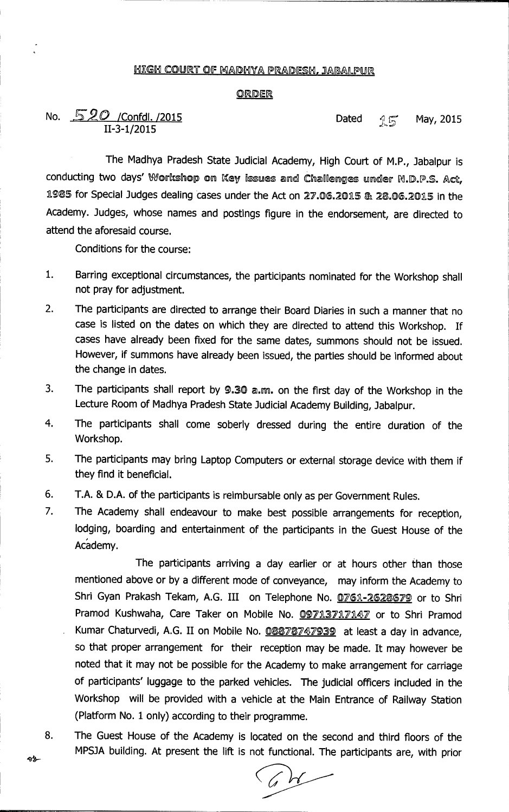## <u>HIGH COURT OF MADHYA PRADESH, JABALPUR</u>

## **ORDER**

**No.** *520 / Confdl. /2015* **<b>Dated** *r f*<sub>5</sub> May, 2015 **11-3-1/2015** 

**The Madhya Pradesh State Judicial Academy, High Court of M.P., Jabalpur is**  conducting two days' Workshop on Key issues and Challenges under R.D.P.S. Act, 1985 for Special Judges dealing cases under the Act on 27.06.2015 & 28.06.2015 in the **Academy. Judges, whose names and postings figure in the endorsement, are directed to attend the aforesaid course.** 

**Conditions for the course:** 

- **1. Barring exceptional circumstances, the participants nominated for the Workshop shall not pray for adjustment.**
- **2. The participants are directed to arrange their Board Diaries in such a manner that no case is listed on the dates on which they are directed to attend this Workshop. If cases have already been fixed for the same dates, summons should not be issued. However, if summons have already been issued, the parties should be informed about the change in dates.**
- **3. The participants shall report by 9.30 a.m. on the first day of the Workshop in the Lecture Room of Madhya Pradesh State Judicial Academy Building, Jabalpur.**
- **4. The participants shall come soberly dressed during the entire duration of the Workshop.**
- **5. The participants may bring Laptop Computers or external storage device with them if they find it beneficial.**
- **6. T.A. & D.A. of the participants is reimbursable only as per Government Rules.**
- **7. The Academy shall endeavour to make best possible arrangements for reception, lodging, boarding and entertainment of the participants in the Guest House of the Academy.**

**The participants arriving a day earlier or at hours other than those mentioned above or by a different mode of conveyance, may inform the Academy to**  Shri Gyan Prakash Tekam, A.G. III on Telephone No. 0761-2628679 or to Shri Pramod Kushwaha, Care Taker on Mobile No. 09713717147 or to Shri Pramod **Kumar Chaturvedi, A.G. II on Mobile No.** 08878747939 **at least a day in advance, so that proper arrangement for their reception may be made. It may however be noted that it may not be possible for the Academy to make arrangement for carriage of participants' luggage to the parked vehicles. The judicial officers included in the Workshop will be provided with a vehicle at the Main Entrance of Railway Station (Platform No. 1 only) according to their programme.** 

**8. The Guest House of the Academy is located on the second and third floors of the MPSJA building. At present the lift is not functional. The participants are, with prior** 

 $\rightsquigarrow$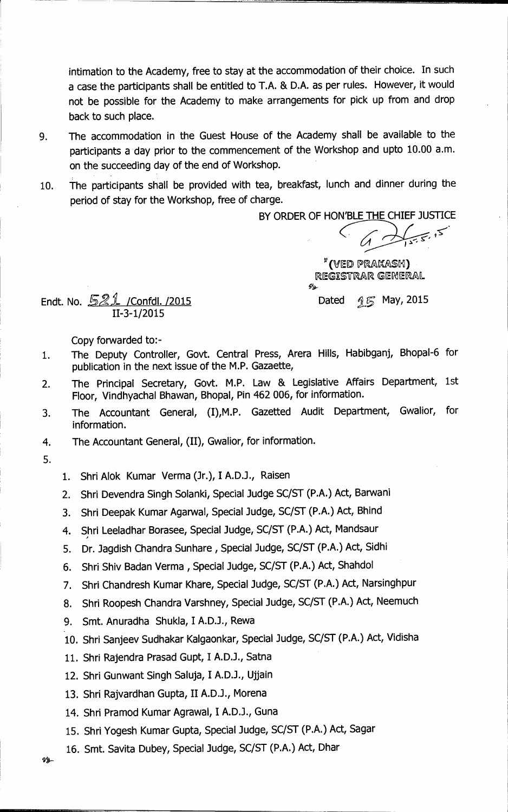**intimation to the Academy, free to stay at the accommodation of their choice. In such a case the participants shall be entitled to T.A. & D.A. as per rules. However, it would not be possible for the Academy to make arrangements for pick up from and drop back to such place.** 

- **9. The accommodation in the Guest House of the Academy shall be available to the participants a day prior to the commencement of the Workshop and upto 10.00 a.m. on the succeeding day of the end of Workshop.**
- **10. The participants shall be provided with tea, breakfast, lunch and dinner during the period of stay for the Workshop, free of charge.**

**BY ORDER OF HON`BLE THE CHIEF JUSTICE** 

" (VED PRAKASH) REGISTRAR GENERAL 弘

**Endt. No. 521 /Confdl. /2015 Dated 45 May, 2015** 

**II-3-1/2015** 

**Copy forwarded to:-** 

- **1. The Deputy Controller, Govt. Central Press, Arera Hills, Habibganj, Bhopal-6 for publication in the next issue of the M.P. Gazaette,**
- **2. The Principal Secretary, Govt. M.P. Law & Legislative Affairs Department, 1st Floor, Vindhyachal Bhawan, Bhopal, Pin 462 006, for information.**
- **3. The Accountant General, (I),M.P. Gazetted Audit Department, Gwalior, for information.**
- **4. The Accountant General, (II), Gwalior, for information.**
- **5.**
- **1. Shri Alok Kumar Verma (Jr.), I A.D.J., Raisen**
- **2. Shri Devendra Singh Solanki, Special Judge SC/ST (P.A.) Act, Barwani**
- **3. Shri Deepak Kumar Agarwal, Special Judge, SC/ST (P.A.) Act, Bhind**
- **4. Shri Leeladhar Borasee, Special Judge, SC/ST (P.A.) Act, Mandsaur**
- **5. Dr. Jagdish Chandra Sunhare , Special Judge, SC/ST (P.A.) Act, Sidhi**
- 6. Shri Shiv Badan Verma, Special Judge, SC/ST (P.A.) Act, Shahdol
- **7. Shri Chandresh Kumar Khare, Special Judge, SC/ST (P.A.) Act, Narsinghpur**
- **8. Shri Roopesh Chandra Varshney, Special Judge, SC/ST (P.A.) Act, Neemuch**
- **9. Smt. Anuradha Shukla, I A.D.J., Rewa**
- **10. Shri Sanjeev Sudhakar Kalgaonkar, Special Judge, SC/ST (P.A.) Act, Vidisha**
- **11. Shri Rajendra Prasad Gupt, I A.D.J., Satna**
- **12. Shri Gunwant Singh Saluja, I A.D.J., Ujjain**
- **13. Shri Rajvardhan Gupta, II A.D.J., Morena**
- **14. Shri Pramod Kumar Agrawal, I A.D.J., Guna**
- **15. Shri Yogesh Kumar Gupta, Special Judge, SC/ST (P.A.) Act, Sagar**
- **16. Smt. Savita Dubey, Special Judge, SC/ST' (P.A.) Act, Dhar**

 $99-$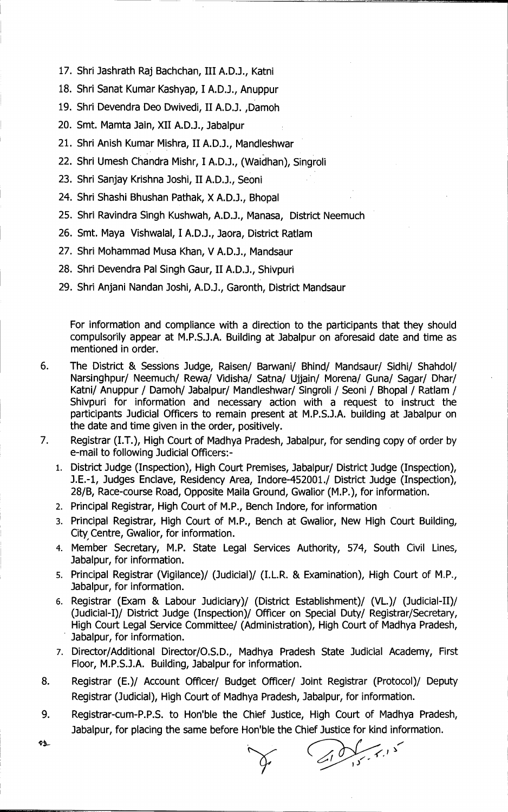- **17. Shri Jashrath Raj Bachchan, III A.D.J., Katni**
- **18. Shri Sanat Kumar Kashyap, I A.D.J., Anuppur**
- **19. Shri Devendra Deo Dwivedi, II A.D.J. ,Damoh**
- **20. Smt. Mamta Jain, XII A.D.J., Jabalpur**
- **21. Shri Anish Kumar Mishra, II A.D.J., Mandleshwar**
- **22. Shri Umesh Chandra Mishr, I A.D.J., (Waidhan), Singroli**
- **23. Shri Sanjay Krishna Joshi, II A.D.J., Seoni**
- **24. Shri Shashi Bhushan Pathak, X A.D.J., Bhopal**
- **25. Shri Ravindra Singh Kushwah, A.D.J., Manasa, District Neemuch**
- **26. Smt. Maya Vishwalal, I A.D.J., Jaora, District Ratlam**
- **27. Shri Mohammad Musa Khan, V A.D.J., Mandsaur**
- **28. Shri Devendra Pal Singh Gaur, II A.D.J., Shivpuri**
- **29. Shri Anjani Nandan Joshi, A.D.J., Garonth, District Mandsaur**

**For information and compliance with a direction to the participants that they should compulsorily appear at M.P.S.J.A. Building at Jabalpur on aforesaid date and time as mentioned in order.** 

- **6. The District & Sessions Judge, Raisen/ Barwani/ Bhind/ Mandsaur/ Sidhi/ Shahdol/ Narsinghpur/ Neemuch/ Rewa/ Vidisha/ Satna/ Ujjain/ Morena/ Guna/ Sagan/ Dhar/ Katni/ Anuppur / Damoh/ Jabalpur/ Mandleshwar/ Singroli / Seoni / Bhopal / Ratlam / Shivpuri for information and necessary action with a request to instruct the participants Judicial Officers to remain present at M.P.S.J.A. building at Jabalpur on the date and time given in the order, positively.**
- **7. Registrar (I.T.), High Court of Madhya Pradesh, Jabalpur, for sending copy of order by e-mail to following Judicial Officers:-** 
	- **1. District Judge (Inspection), High Court Premises, Jabalpur/ District Judge (Inspection), J.E.-1, Judges Enclave, Residency Area, Indore-452001./ District Judge (Inspection), 28/B, Race-course Road, Opposite Malta Ground, Gwalior (M.P.), for information.**
	- **2. Principal Registrar, High Court of M.P., Bench Indore, for information**
	- **3. Principal Registrar, High Court of M.P., Bench at Gwalior, New High Court Building, City Centre, Gwalior, for information.**
	- **4. Member Secretary, M.P. State Legal Services Authority, 574, South Civil Lines, Jabalpur, for information.**
	- **s. Principal Registrar (Vigilance)/ (Judicial)/ (I.L.R. & Examination), High Court of M.P., Jabalpur, for information.**
	- 6. Registrar (Exam & Labour Judiciary)/ (District Establishment)/ (VL.)/ (Judicial-II)/ **(Judicial-I)/ District Judge (Inspection)/ Officer on Special Duty/ Registrar/Secretary, High Court Legal Service Committee/ (Administration), High Court of Madhya Pradesh, Jabalpur, for information.**
	- **7. Director/Additional Director/O.S.D., Madhya Pradesh State Judicial Academy, First Floor, M.P.S.J.A. Building, Jabalpur for information.**
- **8. Registrar (E.)/ Account Officer/ Budget Officer/ Joint Registrar (Protocol)/ Deputy Registrar (Judicial), High Court of Madhya Pradesh, Jabalpur, for information.**
- 9. Registrar-cum-P.P.S. to Hon'ble the Chief Justice, High Court of Madhya Pradesh, **Jabalpur, for placing the same before Hon'ble the Chief Justice for kind information.**

ናሏ

می بر می کرد .<br>می برای بر می کرد .